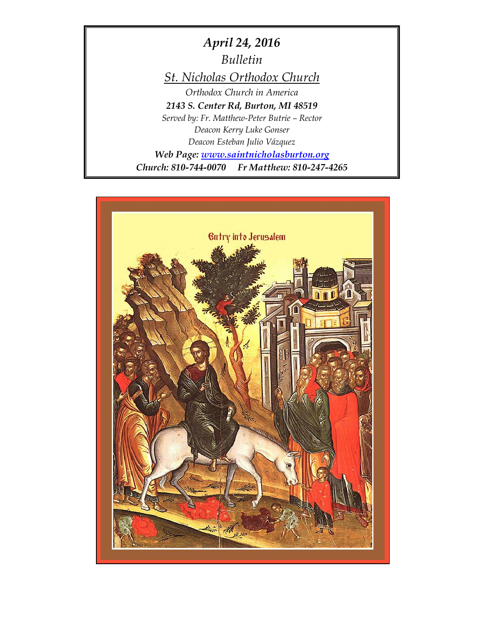*April 24, 2016 Bulletin St. Nicholas Orthodox Church Orthodox Church in America 2143 S. Center Rd, Burton, MI 48519 Served by: Fr. Matthew-Peter Butrie – Rector Deacon Kerry Luke Gonser Deacon Esteban Julio Vázquez Web Page: [www.saintnicholasburton.org](http://www.saintnicholasburton.org/) Church: 810-744-0070 Fr Matthew: 810-247-4265*

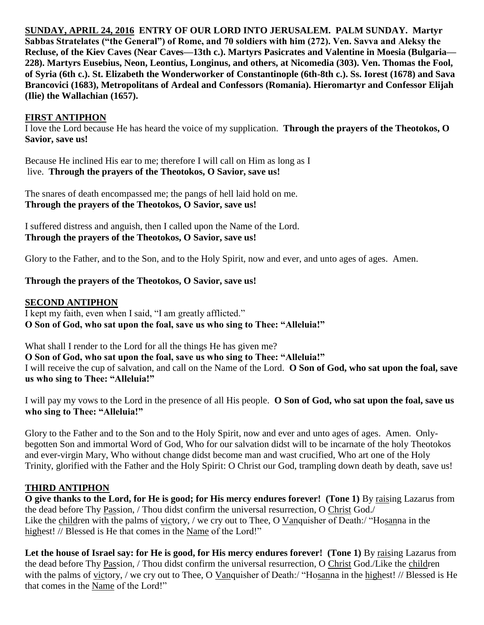**SUNDAY, APRIL 24, 2016 ENTRY OF OUR LORD INTO JERUSALEM. PALM SUNDAY. Martyr Sabbas Stratelates ("the General") of Rome, and 70 soldiers with him (272). Ven. Savva and Aleksy the Recluse, of the Kiev Caves (Near Caves—13th c.). Martyrs Pasicrates and Valentine in Moesia (Bulgaria— 228). Martyrs Eusebius, Neon, Leontius, Longinus, and others, at Nicomedia (303). Ven. Thomas the Fool, of Syria (6th c.). St. Elizabeth the Wonderworker of Constantinople (6th-8th c.). Ss. Iorest (1678) and Sava Brancovici (1683), Metropolitans of Ardeal and Confessors (Romania). Hieromartyr and Confessor Elijah (Ilie) the Wallachian (1657).** 

#### **FIRST ANTIPHON**

I love the Lord because He has heard the voice of my supplication. **Through the prayers of the Theotokos, O Savior, save us!**

Because He inclined His ear to me; therefore I will call on Him as long as I live. **Through the prayers of the Theotokos, O Savior, save us!**

The snares of death encompassed me; the pangs of hell laid hold on me. **Through the prayers of the Theotokos, O Savior, save us!**

I suffered distress and anguish, then I called upon the Name of the Lord. **Through the prayers of the Theotokos, O Savior, save us!**

Glory to the Father, and to the Son, and to the Holy Spirit, now and ever, and unto ages of ages. Amen.

#### **Through the prayers of the Theotokos, O Savior, save us!**

#### **SECOND ANTIPHON**

I kept my faith, even when I said, "I am greatly afflicted." **O Son of God, who sat upon the foal, save us who sing to Thee: "Alleluia!"**

What shall I render to the Lord for all the things He has given me?

**O Son of God, who sat upon the foal, save us who sing to Thee: "Alleluia!"** I will receive the cup of salvation, and call on the Name of the Lord. **O Son of God, who sat upon the foal, save us who sing to Thee: "Alleluia!"**

I will pay my vows to the Lord in the presence of all His people. **O Son of God, who sat upon the foal, save us who sing to Thee: "Alleluia!"**

Glory to the Father and to the Son and to the Holy Spirit, now and ever and unto ages of ages. Amen. Onlybegotten Son and immortal Word of God, Who for our salvation didst will to be incarnate of the holy Theotokos and ever-virgin Mary, Who without change didst become man and wast crucified, Who art one of the Holy Trinity, glorified with the Father and the Holy Spirit: O Christ our God, trampling down death by death, save us!

## **THIRD ANTIPHON**

**O give thanks to the Lord, for He is good; for His mercy endures forever! (Tone 1)** By raising Lazarus from the dead before Thy Passion, / Thou didst confirm the universal resurrection, O Christ God./ Like the children with the palms of victory, / we cry out to Thee, O Vanquisher of Death:/ "Hosanna in the highest! // Blessed is He that comes in the Name of the Lord!"

Let the house of Israel say: for He is good, for His mercy endures forever! (Tone 1) By raising Lazarus from the dead before Thy Passion, / Thou didst confirm the universal resurrection, O Christ God./Like the children with the palms of victory, / we cry out to Thee, O Vanguisher of Death:/ "Hosanna in the highest! // Blessed is He that comes in the Name of the Lord!"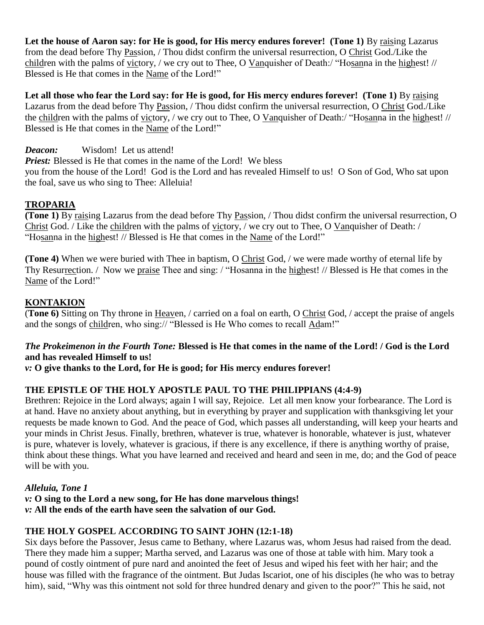Let the house of Aaron say: for He is good, for His mercy endures forever! (Tone 1) By raising Lazarus from the dead before Thy Passion, / Thou didst confirm the universal resurrection, O Christ God./Like the children with the palms of victory, / we cry out to Thee, O Vanquisher of Death:/ "Hosanna in the highest! // Blessed is He that comes in the Name of the Lord!"

Let all those who fear the Lord say: for He is good, for His mercy endures forever! (Tone 1) By raising Lazarus from the dead before Thy Passion, / Thou didst confirm the universal resurrection, O Christ God./Like the children with the palms of victory, / we cry out to Thee, O Vanquisher of Death:/ "Hosanna in the highest! // Blessed is He that comes in the Name of the Lord!"

*Deacon:* Wisdom! Let us attend!

*Priest:* Blessed is He that comes in the name of the Lord! We bless

you from the house of the Lord! God is the Lord and has revealed Himself to us! O Son of God, Who sat upon the foal, save us who sing to Thee: Alleluia!

# **TROPARIA**

**(Tone 1)** By raising Lazarus from the dead before Thy Passion, / Thou didst confirm the universal resurrection, O Christ God. / Like the children with the palms of victory, / we cry out to Thee, O Vanquisher of Death: / "Hosanna in the highest! // Blessed is He that comes in the Name of the Lord!"

**(Tone 4)** When we were buried with Thee in baptism, O Christ God, / we were made worthy of eternal life by Thy Resurrection. / Now we praise Thee and sing: / "Hosanna in the highest! // Blessed is He that comes in the Name of the Lord!"

# **KONTAKION**

(**Tone 6)** Sitting on Thy throne in Heaven, / carried on a foal on earth, O Christ God, / accept the praise of angels and the songs of children, who sing:// "Blessed is He Who comes to recall Adam!"

# *The Prokeimenon in the Fourth Tone:* **Blessed is He that comes in the name of the Lord! / God is the Lord and has revealed Himself to us!**

*v:* **O give thanks to the Lord, for He is good; for His mercy endures forever!**

# **THE EPISTLE OF THE HOLY APOSTLE PAUL TO THE PHILIPPIANS (4:4-9)**

Brethren: Rejoice in the Lord always; again I will say, Rejoice. Let all men know your forbearance. The Lord is at hand. Have no anxiety about anything, but in everything by prayer and supplication with thanksgiving let your requests be made known to God. And the peace of God, which passes all understanding, will keep your hearts and your minds in Christ Jesus. Finally, brethren, whatever is true, whatever is honorable, whatever is just, whatever is pure, whatever is lovely, whatever is gracious, if there is any excellence, if there is anything worthy of praise, think about these things. What you have learned and received and heard and seen in me, do; and the God of peace will be with you.

# *Alleluia, Tone 1*

*v:* **O sing to the Lord a new song, for He has done marvelous things!** *v:* **All the ends of the earth have seen the salvation of our God.**

# **THE HOLY GOSPEL ACCORDING TO SAINT JOHN (12:1-18)**

Six days before the Passover, Jesus came to Bethany, where Lazarus was, whom Jesus had raised from the dead. There they made him a supper; Martha served, and Lazarus was one of those at table with him. Mary took a pound of costly ointment of pure nard and anointed the feet of Jesus and wiped his feet with her hair; and the house was filled with the fragrance of the ointment. But Judas Iscariot, one of his disciples (he who was to betray him), said, "Why was this ointment not sold for three hundred denary and given to the poor?" This he said, not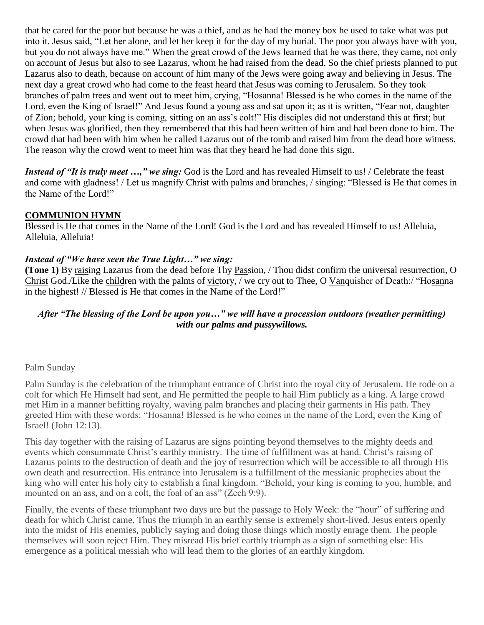that he cared for the poor but because he was a thief, and as he had the money box he used to take what was put into it. Jesus said, "Let her alone, and let her keep it for the day of my burial. The poor you always have with you, but you do not always have me." When the great crowd of the Jews learned that he was there, they came, not only on account of Jesus but also to see Lazarus, whom he had raised from the dead. So the chief priests planned to put Lazarus also to death, because on account of him many of the Jews were going away and believing in Jesus. The next day a great crowd who had come to the feast heard that Jesus was coming to Jerusalem. So they took branches of palm trees and went out to meet him, crying, "Hosanna! Blessed is he who comes in the name of the Lord, even the King of Israel!" And Jesus found a young ass and sat upon it; as it is written, "Fear not, daughter of Zion; behold, your king is coming, sitting on an ass's colt!" His disciples did not understand this at first; but when Jesus was glorified, then they remembered that this had been written of him and had been done to him. The crowd that had been with him when he called Lazarus out of the tomb and raised him from the dead bore witness. The reason why the crowd went to meet him was that they heard he had done this sign.

*Instead of "It is truly meet ...," we sing:* God is the Lord and has revealed Himself to us! / Celebrate the feast and come with gladness! / Let us magnify Christ with palms and branches, / singing: "Blessed is He that comes in the Name of the Lord!"

#### **COMMUNION HYMN**

Blessed is He that comes in the Name of the Lord! God is the Lord and has revealed Himself to us! Alleluia, Alleluia, Alleluia!

#### *Instead of "We have seen the True Light…" we sing:*

**(Tone 1)** By raising Lazarus from the dead before Thy Passion, / Thou didst confirm the universal resurrection, O Christ God./Like the children with the palms of victory, / we cry out to Thee, O Vanquisher of Death:/ "Hosanna in the highest! // Blessed is He that comes in the Name of the Lord!"

#### *After "The blessing of the Lord be upon you…" we will have a procession outdoors (weather permitting) with our palms and pussywillows.*

#### Palm Sunday

Palm Sunday is the celebration of the triumphant entrance of Christ into the royal city of Jerusalem. He rode on a colt for which He Himself had sent, and He permitted the people to hail Him publicly as a king. A large crowd met Him in a manner befitting royalty, waving palm branches and placing their garments in His path. They greeted Him with these words: "Hosanna! Blessed is he who comes in the name of the Lord, even the King of Israel! (John 12:13).

This day together with the raising of Lazarus are signs pointing beyond themselves to the mighty deeds and events which consummate Christ's earthly ministry. The time of fulfillment was at hand. Christ's raising of Lazarus points to the destruction of death and the joy of resurrection which will be accessible to all through His own death and resurrection. His entrance into Jerusalem is a fulfillment of the messianic prophecies about the king who will enter his holy city to establish a final kingdom. "Behold, your king is coming to you, humble, and mounted on an ass, and on a colt, the foal of an ass" (Zech 9:9).

Finally, the events of these triumphant two days are but the passage to Holy Week: the "hour" of suffering and death for which Christ came. Thus the triumph in an earthly sense is extremely short-lived. Jesus enters openly into the midst of His enemies, publicly saying and doing those things which mostly enrage them. The people themselves will soon reject Him. They misread His brief earthly triumph as a sign of something else: His emergence as a political messiah who will lead them to the glories of an earthly kingdom.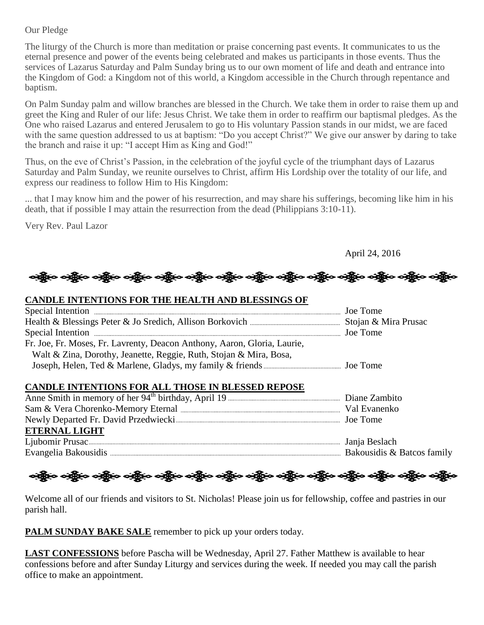#### Our Pledge

The liturgy of the Church is more than meditation or praise concerning past events. It communicates to us the eternal presence and power of the events being celebrated and makes us participants in those events. Thus the services of Lazarus Saturday and Palm Sunday bring us to our own moment of life and death and entrance into the Kingdom of God: a Kingdom not of this world, a Kingdom accessible in the Church through repentance and baptism.

On Palm Sunday palm and willow branches are blessed in the Church. We take them in order to raise them up and greet the King and Ruler of our life: Jesus Christ. We take them in order to reaffirm our baptismal pledges. As the One who raised Lazarus and entered Jerusalem to go to His voluntary Passion stands in our midst, we are faced with the same question addressed to us at baptism: "Do you accept Christ?" We give our answer by daring to take the branch and raise it up: "I accept Him as King and God!"

Thus, on the eve of Christ's Passion, in the celebration of the joyful cycle of the triumphant days of Lazarus Saturday and Palm Sunday, we reunite ourselves to Christ, affirm His Lordship over the totality of our life, and express our readiness to follow Him to His Kingdom:

... that I may know him and the power of his resurrection, and may share his sufferings, becoming like him in his death, that if possible I may attain the resurrection from the dead (Philippians 3:10-11).

Very Rev. Paul Lazor

April 24, 2016

# န္တို့ေ မရွိပ္ေမရွိေပါင္း ရွိေပါင္း မရွိပါ မရွိေပါင္း ရွိေပါင္း မရွိသည့္ မရွိပါ မရွိပါ မရွိပါ မရွိပါ

#### **CANDLE INTENTIONS FOR THE HEALTH AND BLESSINGS OF**

| Fr. Joe, Fr. Moses, Fr. Lavrenty, Deacon Anthony, Aaron, Gloria, Laurie, |  |
|--------------------------------------------------------------------------|--|
| Walt & Zina, Dorothy, Jeanette, Reggie, Ruth, Stojan & Mira, Bosa,       |  |
|                                                                          |  |
|                                                                          |  |
| CANDLE INTENTIONS FOR ALL THOSE IN BLESSED REPOSE                        |  |
|                                                                          |  |
|                                                                          |  |
|                                                                          |  |
| <b>ETERNAL LIGHT</b>                                                     |  |
|                                                                          |  |
|                                                                          |  |

လူမြို့လေးရှိပြီး ဝတ္ထိုးဝ ဝတ္ထိုးဝ ဝတ္ထိုးဝ ဝတ္ထိုးဝ ဝတ္ထိုးဝ ဝတ္ထိုးဝ ဝတ္ထိုးဝ ဝတ္ထိုးဝ ဝတ္ထိုးဝ ဝတ္ထိုးဝ ဝတ

Welcome all of our friends and visitors to St. Nicholas! Please join us for fellowship, coffee and pastries in our parish hall.

PALM SUNDAY BAKE SALE remember to pick up your orders today.

**LAST CONFESSIONS** before Pascha will be Wednesday, April 27. Father Matthew is available to hear confessions before and after Sunday Liturgy and services during the week. If needed you may call the parish office to make an appointment.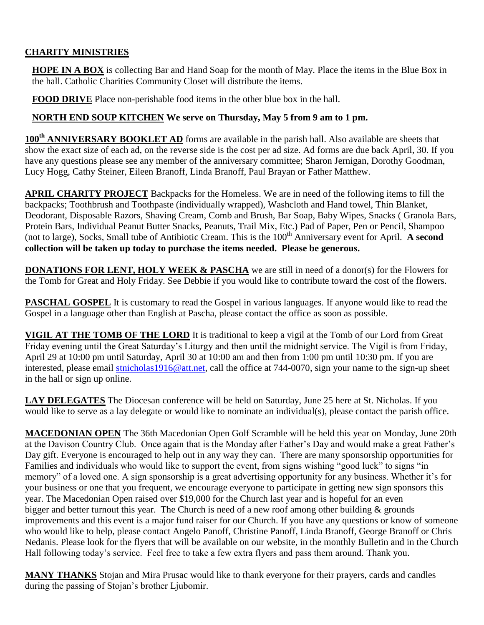# **CHARITY MINISTRIES**

**HOPE IN A BOX** is collecting Bar and Hand Soap for the month of May. Place the items in the Blue Box in the hall. Catholic Charities Community Closet will distribute the items.

**FOOD DRIVE** Place non-perishable food items in the other blue box in the hall.

### **NORTH END SOUP KITCHEN We serve on Thursday, May 5 from 9 am to 1 pm.**

**100th ANNIVERSARY BOOKLET AD** forms are available in the parish hall. Also available are sheets that show the exact size of each ad, on the reverse side is the cost per ad size. Ad forms are due back April, 30. If you have any questions please see any member of the anniversary committee; Sharon Jernigan, Dorothy Goodman, Lucy Hogg, Cathy Steiner, Eileen Branoff, Linda Branoff, Paul Brayan or Father Matthew.

**APRIL CHARITY PROJECT** Backpacks for the Homeless. We are in need of the following items to fill the backpacks; Toothbrush and Toothpaste (individually wrapped), Washcloth and Hand towel, Thin Blanket, Deodorant, Disposable Razors, Shaving Cream, Comb and Brush, Bar Soap, Baby Wipes, Snacks ( Granola Bars, Protein Bars, Individual Peanut Butter Snacks, Peanuts, Trail Mix, Etc.) Pad of Paper, Pen or Pencil, Shampoo (not to large), Socks, Small tube of Antibiotic Cream. This is the 100<sup>th</sup> Anniversary event for April. **A second collection will be taken up today to purchase the items needed. Please be generous.**

**DONATIONS FOR LENT, HOLY WEEK & PASCHA** we are still in need of a donor(s) for the Flowers for the Tomb for Great and Holy Friday. See Debbie if you would like to contribute toward the cost of the flowers.

**PASCHAL GOSPEL** It is customary to read the Gospel in various languages. If anyone would like to read the Gospel in a language other than English at Pascha, please contact the office as soon as possible.

**VIGIL AT THE TOMB OF THE LORD** It is traditional to keep a vigil at the Tomb of our Lord from Great Friday evening until the Great Saturday's Liturgy and then until the midnight service. The Vigil is from Friday, April 29 at 10:00 pm until Saturday, April 30 at 10:00 am and then from 1:00 pm until 10:30 pm. If you are interested, please email [stnicholas1916@att.net,](mailto:stnicholas1916@att.net) call the office at 744-0070, sign your name to the sign-up sheet in the hall or sign up online.

**LAY DELEGATES** The Diocesan conference will be held on Saturday, June 25 here at St. Nicholas. If you would like to serve as a lay delegate or would like to nominate an individual(s), please contact the parish office.

**MACEDONIAN OPEN** The 36th Macedonian Open Golf Scramble will be held this year on Monday, June 20th at the Davison Country Club. Once again that is the Monday after Father's Day and would make a great Father's Day gift. Everyone is encouraged to help out in any way they can. There are many sponsorship opportunities for Families and individuals who would like to support the event, from signs wishing "good luck" to signs "in memory" of a loved one. A sign sponsorship is a great advertising opportunity for any business. Whether it's for your business or one that you frequent, we encourage everyone to participate in getting new sign sponsors this year. The Macedonian Open raised over \$19,000 for the Church last year and is hopeful for an even bigger and better turnout this year. The Church is need of a new roof among other building & grounds improvements and this event is a major fund raiser for our Church. If you have any questions or know of someone who would like to help, please contact Angelo Panoff, Christine Panoff, Linda Branoff, George Branoff or Chris Nedanis. Please look for the flyers that will be available on our website, in the monthly Bulletin and in the Church Hall following today's service. Feel free to take a few extra flyers and pass them around. Thank you.

**MANY THANKS** Stojan and Mira Prusac would like to thank everyone for their prayers, cards and candles during the passing of Stojan's brother Ljubomir.